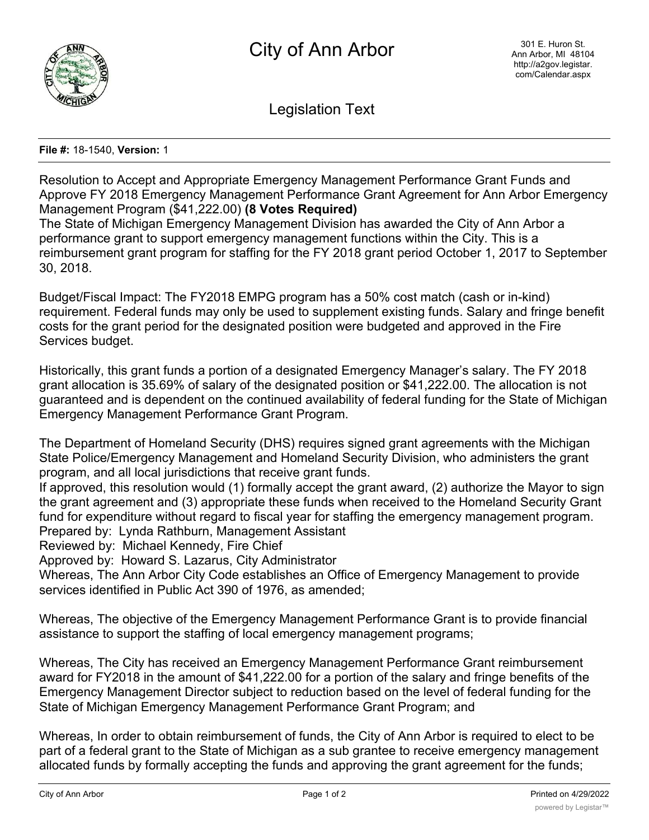

Legislation Text

**File #:** 18-1540, **Version:** 1

Resolution to Accept and Appropriate Emergency Management Performance Grant Funds and Approve FY 2018 Emergency Management Performance Grant Agreement for Ann Arbor Emergency Management Program (\$41,222.00) **(8 Votes Required)** The State of Michigan Emergency Management Division has awarded the City of Ann Arbor a performance grant to support emergency management functions within the City. This is a

reimbursement grant program for staffing for the FY 2018 grant period October 1, 2017 to September 30, 2018.

Budget/Fiscal Impact: The FY2018 EMPG program has a 50% cost match (cash or in-kind) requirement. Federal funds may only be used to supplement existing funds. Salary and fringe benefit costs for the grant period for the designated position were budgeted and approved in the Fire Services budget.

Historically, this grant funds a portion of a designated Emergency Manager's salary. The FY 2018 grant allocation is 35.69% of salary of the designated position or \$41,222.00. The allocation is not guaranteed and is dependent on the continued availability of federal funding for the State of Michigan Emergency Management Performance Grant Program.

The Department of Homeland Security (DHS) requires signed grant agreements with the Michigan State Police/Emergency Management and Homeland Security Division, who administers the grant program, and all local jurisdictions that receive grant funds.

If approved, this resolution would (1) formally accept the grant award, (2) authorize the Mayor to sign the grant agreement and (3) appropriate these funds when received to the Homeland Security Grant fund for expenditure without regard to fiscal year for staffing the emergency management program. Prepared by: Lynda Rathburn, Management Assistant

Reviewed by: Michael Kennedy, Fire Chief

Approved by: Howard S. Lazarus, City Administrator

Whereas, The Ann Arbor City Code establishes an Office of Emergency Management to provide services identified in Public Act 390 of 1976, as amended;

Whereas, The objective of the Emergency Management Performance Grant is to provide financial assistance to support the staffing of local emergency management programs;

Whereas, The City has received an Emergency Management Performance Grant reimbursement award for FY2018 in the amount of \$41,222.00 for a portion of the salary and fringe benefits of the Emergency Management Director subject to reduction based on the level of federal funding for the State of Michigan Emergency Management Performance Grant Program; and

Whereas, In order to obtain reimbursement of funds, the City of Ann Arbor is required to elect to be part of a federal grant to the State of Michigan as a sub grantee to receive emergency management allocated funds by formally accepting the funds and approving the grant agreement for the funds;